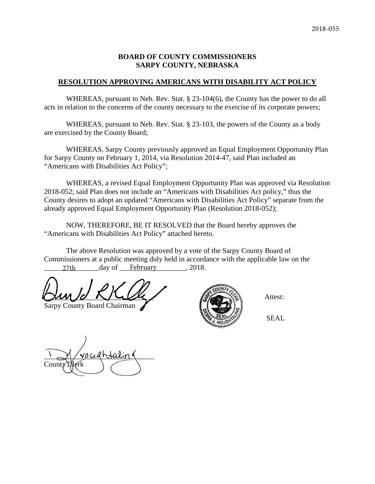#### **BOARD OF COUNTY COMMISSIONERS SARPY COUNTY, NEBRASKA**

#### **RESOLUTION APPROVING AMERICANS WITH DISABILITY ACT POLICY**

WHEREAS, pursuant to Neb. Rev. Stat. § 23-104(6), the County has the power to do all acts in relation to the concerns of the county necessary to the exercise of its corporate powers;

WHEREAS, pursuant to Neb. Rev. Stat. § 23-103, the powers of the County as a body are exercised by the County Board;

WHEREAS, Sarpy County previously approved an Equal Employment Opportunity Plan for Sarpy County on February 1, 2014, via Resolution 2014-47, said Plan included an "Americans with Disabilities Act Policy";

WHEREAS, a revised Equal Employment Opportunity Plan was approved via Resolution 2018-052; said Plan does not include an "Americans with Disabilities Act policy," thus the County desires to adopt an updated "Americans with Disabilities Act Policy" separate from the already approved Equal Employment Opportunity Plan (Resolution 2018-052);

NOW, THEREFORE, BE IT RESOLVED that the Board hereby approves the "Americans with Disabilities Act Policy" attached hereto.

The above Resolution was approved by a vote of the Sarpy County Board of Commissioners at a public meeting duly held in accordance with the applicable law on the 27th day of February 2018.

\_\_\_\_\_\_\_\_\_\_\_\_\_\_\_\_\_\_\_\_\_\_\_\_\_\_\_\_\_\_ Attest:

Sarpy County Board Chairman



SEAL

 $\sim$   $\frac{1}{2}$  voughtal n County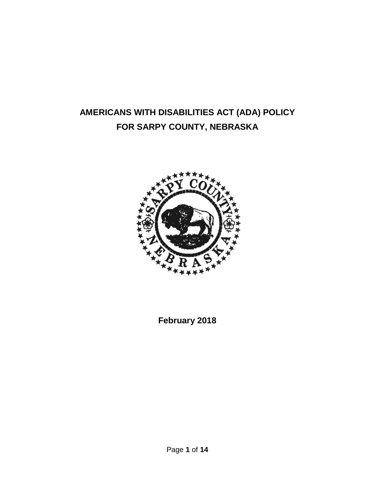# **AMERICANS WITH DISABILITIES ACT (ADA) POLICY FOR SARPY COUNTY, NEBRASKA**



**February 2018**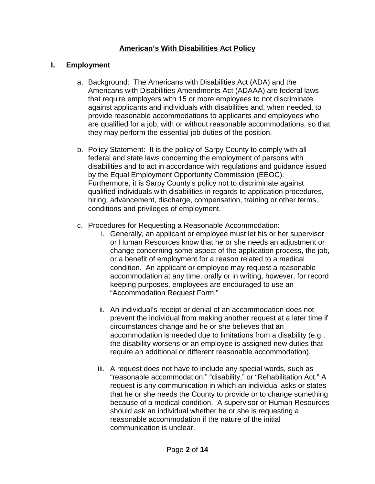## **American's With Disabilities Act Policy**

#### **I. Employment**

- a. Background: The Americans with Disabilities Act (ADA) and the Americans with Disabilities Amendments Act (ADAAA) are federal laws that require employers with 15 or more employees to not discriminate against applicants and individuals with disabilities and, when needed, to provide reasonable accommodations to applicants and employees who are qualified for a job, with or without reasonable accommodations, so that they may perform the essential job duties of the position.
- b. Policy Statement: It is the policy of Sarpy County to comply with all federal and state laws concerning the employment of persons with disabilities and to act in accordance with regulations and guidance issued by the Equal Employment Opportunity Commission (EEOC). Furthermore, it is Sarpy County's policy not to discriminate against qualified individuals with disabilities in regards to application procedures, hiring, advancement, discharge, compensation, training or other terms, conditions and privileges of employment.
- c. Procedures for Requesting a Reasonable Accommodation:
	- i. Generally, an applicant or employee must let his or her supervisor or Human Resources know that he or she needs an adjustment or change concerning some aspect of the application process, the job, or a benefit of employment for a reason related to a medical condition. An applicant or employee may request a reasonable accommodation at any time, orally or in writing, however, for record keeping purposes, employees are encouraged to use an "Accommodation Request Form."
	- ii. An individual's receipt or denial of an accommodation does not prevent the individual from making another request at a later time if circumstances change and he or she believes that an accommodation is needed due to limitations from a disability (e.g., the disability worsens or an employee is assigned new duties that require an additional or different reasonable accommodation).
	- iii. A request does not have to include any special words, such as "reasonable accommodation," "disability," or "Rehabilitation Act." A request is any communication in which an individual asks or states that he or she needs the County to provide or to change something because of a medical condition. A supervisor or Human Resources should ask an individual whether he or she is requesting a reasonable accommodation if the nature of the initial communication is unclear.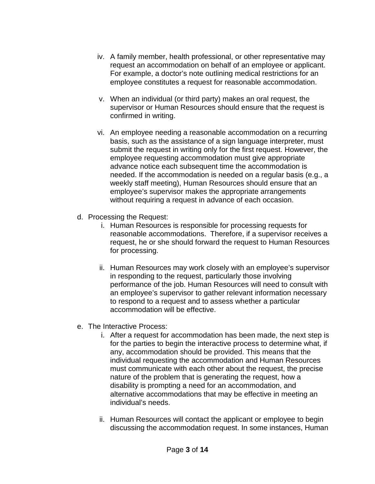- iv. A family member, health professional, or other representative may request an accommodation on behalf of an employee or applicant. For example, a doctor's note outlining medical restrictions for an employee constitutes a request for reasonable accommodation.
- v. When an individual (or third party) makes an oral request, the supervisor or Human Resources should ensure that the request is confirmed in writing.
- vi. An employee needing a reasonable accommodation on a recurring basis, such as the assistance of a sign language interpreter, must submit the request in writing only for the first request. However, the employee requesting accommodation must give appropriate advance notice each subsequent time the accommodation is needed. If the accommodation is needed on a regular basis (e.g., a weekly staff meeting), Human Resources should ensure that an employee's supervisor makes the appropriate arrangements without requiring a request in advance of each occasion.
- d. Processing the Request:
	- i. Human Resources is responsible for processing requests for reasonable accommodations. Therefore, if a supervisor receives a request, he or she should forward the request to Human Resources for processing.
	- ii. Human Resources may work closely with an employee's supervisor in responding to the request, particularly those involving performance of the job. Human Resources will need to consult with an employee's supervisor to gather relevant information necessary to respond to a request and to assess whether a particular accommodation will be effective.
- e. The Interactive Process:
	- i. After a request for accommodation has been made, the next step is for the parties to begin the interactive process to determine what, if any, accommodation should be provided. This means that the individual requesting the accommodation and Human Resources must communicate with each other about the request, the precise nature of the problem that is generating the request, how a disability is prompting a need for an accommodation, and alternative accommodations that may be effective in meeting an individual's needs.
	- ii. Human Resources will contact the applicant or employee to begin discussing the accommodation request. In some instances, Human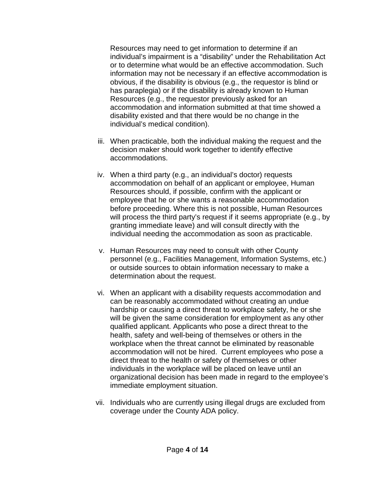Resources may need to get information to determine if an individual's impairment is a "disability" under the Rehabilitation Act or to determine what would be an effective accommodation. Such information may not be necessary if an effective accommodation is obvious, if the disability is obvious (e.g., the requestor is blind or has paraplegia) or if the disability is already known to Human Resources (e.g., the requestor previously asked for an accommodation and information submitted at that time showed a disability existed and that there would be no change in the individual's medical condition).

- iii. When practicable, both the individual making the request and the decision maker should work together to identify effective accommodations.
- iv. When a third party (e.g., an individual's doctor) requests accommodation on behalf of an applicant or employee, Human Resources should, if possible, confirm with the applicant or employee that he or she wants a reasonable accommodation before proceeding. Where this is not possible, Human Resources will process the third party's request if it seems appropriate (e.g., by granting immediate leave) and will consult directly with the individual needing the accommodation as soon as practicable.
- v. Human Resources may need to consult with other County personnel (e.g., Facilities Management, Information Systems, etc.) or outside sources to obtain information necessary to make a determination about the request.
- vi. When an applicant with a disability requests accommodation and can be reasonably accommodated without creating an undue hardship or causing a direct threat to workplace safety, he or she will be given the same consideration for employment as any other qualified applicant. Applicants who pose a direct threat to the health, safety and well-being of themselves or others in the workplace when the threat cannot be eliminated by reasonable accommodation will not be hired. Current employees who pose a direct threat to the health or safety of themselves or other individuals in the workplace will be placed on leave until an organizational decision has been made in regard to the employee's immediate employment situation.
- vii. Individuals who are currently using illegal drugs are excluded from coverage under the County ADA policy.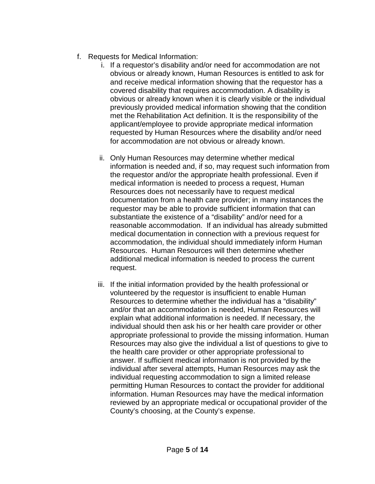- f. Requests for Medical Information:
	- i. If a requestor's disability and/or need for accommodation are not obvious or already known, Human Resources is entitled to ask for and receive medical information showing that the requestor has a covered disability that requires accommodation. A disability is obvious or already known when it is clearly visible or the individual previously provided medical information showing that the condition met the Rehabilitation Act definition. It is the responsibility of the applicant/employee to provide appropriate medical information requested by Human Resources where the disability and/or need for accommodation are not obvious or already known.
	- ii. Only Human Resources may determine whether medical information is needed and, if so, may request such information from the requestor and/or the appropriate health professional. Even if medical information is needed to process a request, Human Resources does not necessarily have to request medical documentation from a health care provider; in many instances the requestor may be able to provide sufficient information that can substantiate the existence of a "disability" and/or need for a reasonable accommodation. If an individual has already submitted medical documentation in connection with a previous request for accommodation, the individual should immediately inform Human Resources. Human Resources will then determine whether additional medical information is needed to process the current request.
	- iii. If the initial information provided by the health professional or volunteered by the requestor is insufficient to enable Human Resources to determine whether the individual has a "disability" and/or that an accommodation is needed, Human Resources will explain what additional information is needed. If necessary, the individual should then ask his or her health care provider or other appropriate professional to provide the missing information. Human Resources may also give the individual a list of questions to give to the health care provider or other appropriate professional to answer. If sufficient medical information is not provided by the individual after several attempts, Human Resources may ask the individual requesting accommodation to sign a limited release permitting Human Resources to contact the provider for additional information. Human Resources may have the medical information reviewed by an appropriate medical or occupational provider of the County's choosing, at the County's expense.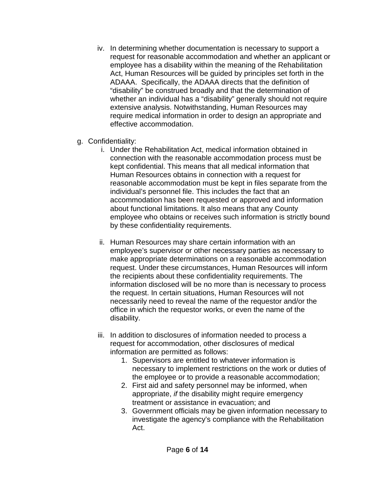- iv. In determining whether documentation is necessary to support a request for reasonable accommodation and whether an applicant or employee has a disability within the meaning of the Rehabilitation Act, Human Resources will be guided by principles set forth in the ADAAA. Specifically, the ADAAA directs that the definition of "disability" be construed broadly and that the determination of whether an individual has a "disability" generally should not require extensive analysis. Notwithstanding, Human Resources may require medical information in order to design an appropriate and effective accommodation.
- g. Confidentiality:
	- i. Under the Rehabilitation Act, medical information obtained in connection with the reasonable accommodation process must be kept confidential. This means that all medical information that Human Resources obtains in connection with a request for reasonable accommodation must be kept in files separate from the individual's personnel file. This includes the fact that an accommodation has been requested or approved and information about functional limitations. It also means that any County employee who obtains or receives such information is strictly bound by these confidentiality requirements.
	- ii. Human Resources may share certain information with an employee's supervisor or other necessary parties as necessary to make appropriate determinations on a reasonable accommodation request. Under these circumstances, Human Resources will inform the recipients about these confidentiality requirements. The information disclosed will be no more than is necessary to process the request. In certain situations, Human Resources will not necessarily need to reveal the name of the requestor and/or the office in which the requestor works, or even the name of the disability.
	- iii. In addition to disclosures of information needed to process a request for accommodation, other disclosures of medical information are permitted as follows:
		- 1. Supervisors are entitled to whatever information is necessary to implement restrictions on the work or duties of the employee or to provide a reasonable accommodation;
		- 2. First aid and safety personnel may be informed, when appropriate, *if* the disability might require emergency treatment or assistance in evacuation; and
		- 3. Government officials may be given information necessary to investigate the agency's compliance with the Rehabilitation Act.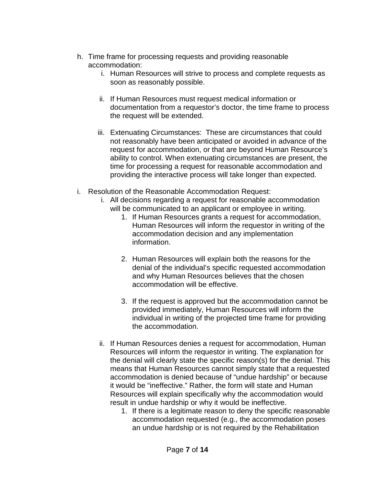- h. Time frame for processing requests and providing reasonable accommodation:
	- i. Human Resources will strive to process and complete requests as soon as reasonably possible.
	- ii. If Human Resources must request medical information or documentation from a requestor's doctor, the time frame to process the request will be extended.
	- iii. Extenuating Circumstances: These are circumstances that could not reasonably have been anticipated or avoided in advance of the request for accommodation, or that are beyond Human Resource's ability to control. When extenuating circumstances are present, the time for processing a request for reasonable accommodation and providing the interactive process will take longer than expected.
- i. Resolution of the Reasonable Accommodation Request:
	- i. All decisions regarding a request for reasonable accommodation will be communicated to an applicant or employee in writing.
		- 1. If Human Resources grants a request for accommodation, Human Resources will inform the requestor in writing of the accommodation decision and any implementation information.
		- 2. Human Resources will explain both the reasons for the denial of the individual's specific requested accommodation and why Human Resources believes that the chosen accommodation will be effective.
		- 3. If the request is approved but the accommodation cannot be provided immediately, Human Resources will inform the individual in writing of the projected time frame for providing the accommodation.
	- ii. If Human Resources denies a request for accommodation, Human Resources will inform the requestor in writing. The explanation for the denial will clearly state the specific reason(s) for the denial. This means that Human Resources cannot simply state that a requested accommodation is denied because of "undue hardship" or because it would be "ineffective." Rather, the form will state and Human Resources will explain specifically why the accommodation would result in undue hardship or why it would be ineffective.
		- 1. If there is a legitimate reason to deny the specific reasonable accommodation requested (e.g., the accommodation poses an undue hardship or is not required by the Rehabilitation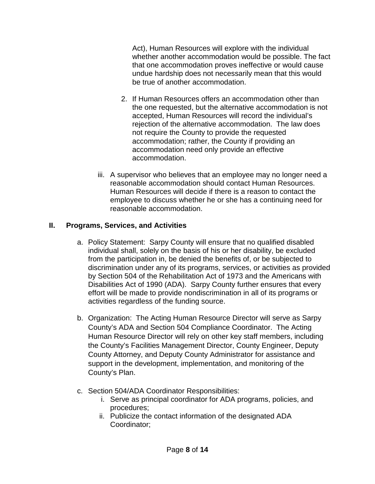Act), Human Resources will explore with the individual whether another accommodation would be possible. The fact that one accommodation proves ineffective or would cause undue hardship does not necessarily mean that this would be true of another accommodation.

- 2. If Human Resources offers an accommodation other than the one requested, but the alternative accommodation is not accepted, Human Resources will record the individual's rejection of the alternative accommodation. The law does not require the County to provide the requested accommodation; rather, the County if providing an accommodation need only provide an effective accommodation.
- iii. A supervisor who believes that an employee may no longer need a reasonable accommodation should contact Human Resources. Human Resources will decide if there is a reason to contact the employee to discuss whether he or she has a continuing need for reasonable accommodation.

# **II. Programs, Services, and Activities**

- a. Policy Statement: Sarpy County will ensure that no qualified disabled individual shall, solely on the basis of his or her disability, be excluded from the participation in, be denied the benefits of, or be subjected to discrimination under any of its programs, services, or activities as provided by Section 504 of the Rehabilitation Act of 1973 and the Americans with Disabilities Act of 1990 (ADA). Sarpy County further ensures that every effort will be made to provide nondiscrimination in all of its programs or activities regardless of the funding source.
- b. Organization: The Acting Human Resource Director will serve as Sarpy County's ADA and Section 504 Compliance Coordinator. The Acting Human Resource Director will rely on other key staff members, including the County's Facilities Management Director, County Engineer, Deputy County Attorney, and Deputy County Administrator for assistance and support in the development, implementation, and monitoring of the County's Plan.
- c. Section 504/ADA Coordinator Responsibilities:
	- i. Serve as principal coordinator for ADA programs, policies, and procedures;
	- ii. Publicize the contact information of the designated ADA Coordinator;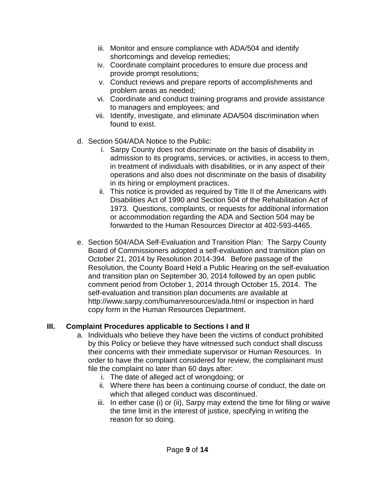- iii. Monitor and ensure compliance with ADA/504 and identify shortcomings and develop remedies;
- iv. Coordinate complaint procedures to ensure due process and provide prompt resolutions;
- v. Conduct reviews and prepare reports of accomplishments and problem areas as needed;
- vi. Coordinate and conduct training programs and provide assistance to managers and employees; and
- vii. Identify, investigate, and eliminate ADA/504 discrimination when found to exist.
- d. Section 504/ADA Notice to the Public:
	- i. Sarpy County does not discriminate on the basis of disability in admission to its programs, services, or activities, in access to them, in treatment of individuals with disabilities, or in any aspect of their operations and also does not discriminate on the basis of disability in its hiring or employment practices.
	- ii. This notice is provided as required by Title II of the Americans with Disabilities Act of 1990 and Section 504 of the Rehabilitation Act of 1973. Questions, complaints, or requests for additional information or accommodation regarding the ADA and Section 504 may be forwarded to the Human Resources Director at 402-593-4465.
- e. Section 504/ADA Self-Evaluation and Transition Plan: The Sarpy County Board of Commissioners adopted a self-evaluation and transition plan on October 21, 2014 by Resolution 2014-394. Before passage of the Resolution, the County Board Held a Public Hearing on the self-evaluation and transition plan on September 30, 2014 followed by an open public comment period from October 1, 2014 through October 15, 2014. The self-evaluation and transition plan documents are available at http://www.sarpy.com/humanresources/ada.html or inspection in hard copy form in the Human Resources Department.

## **III. Complaint Procedures applicable to Sections I and II**

- a. Individuals who believe they have been the victims of conduct prohibited by this Policy or believe they have witnessed such conduct shall discuss their concerns with their immediate supervisor or Human Resources. In order to have the complaint considered for review, the complainant must file the complaint no later than 60 days after:
	- i. The date of alleged act of wrongdoing; or
	- ii. Where there has been a continuing course of conduct, the date on which that alleged conduct was discontinued.
	- iii. In either case (i) or (ii), Sarpy may extend the time for filing or waive the time limit in the interest of justice, specifying in writing the reason for so doing.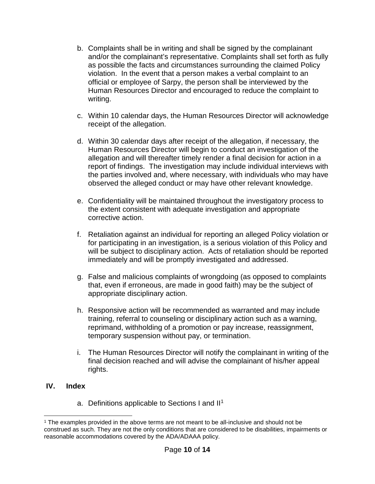- b. Complaints shall be in writing and shall be signed by the complainant and/or the complainant's representative. Complaints shall set forth as fully as possible the facts and circumstances surrounding the claimed Policy violation. In the event that a person makes a verbal complaint to an official or employee of Sarpy, the person shall be interviewed by the Human Resources Director and encouraged to reduce the complaint to writing.
- c. Within 10 calendar days, the Human Resources Director will acknowledge receipt of the allegation.
- d. Within 30 calendar days after receipt of the allegation, if necessary, the Human Resources Director will begin to conduct an investigation of the allegation and will thereafter timely render a final decision for action in a report of findings. The investigation may include individual interviews with the parties involved and, where necessary, with individuals who may have observed the alleged conduct or may have other relevant knowledge.
- e. Confidentiality will be maintained throughout the investigatory process to the extent consistent with adequate investigation and appropriate corrective action.
- f. Retaliation against an individual for reporting an alleged Policy violation or for participating in an investigation, is a serious violation of this Policy and will be subject to disciplinary action. Acts of retaliation should be reported immediately and will be promptly investigated and addressed.
- g. False and malicious complaints of wrongdoing (as opposed to complaints that, even if erroneous, are made in good faith) may be the subject of appropriate disciplinary action.
- h. Responsive action will be recommended as warranted and may include training, referral to counseling or disciplinary action such as a warning, reprimand, withholding of a promotion or pay increase, reassignment, temporary suspension without pay, or termination.
- i. The Human Resources Director will notify the complainant in writing of the final decision reached and will advise the complainant of his/her appeal rights.

## **IV. Index**

a. Definitions applicable to Sections I and II<sup>1</sup>

l <sup>1</sup> The examples provided in the above terms are not meant to be all-inclusive and should not be construed as such. They are not the only conditions that are considered to be disabilities, impairments or reasonable accommodations covered by the ADA/ADAAA policy.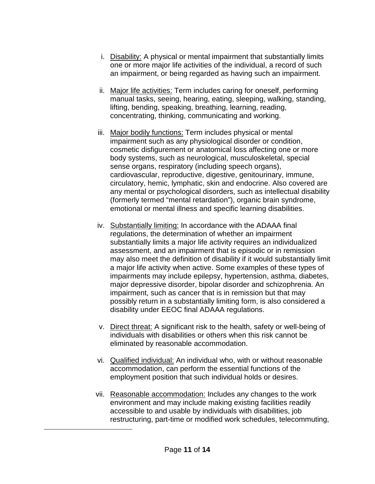- i. Disability: A physical or mental impairment that substantially limits one or more major life activities of the individual, a record of such an impairment, or being regarded as having such an impairment.
- ii. Major life activities: Term includes caring for oneself, performing manual tasks, seeing, hearing, eating, sleeping, walking, standing, lifting, bending, speaking, breathing, learning, reading, concentrating, thinking, communicating and working.
- iii. Major bodily functions: Term includes physical or mental impairment such as any physiological disorder or condition, cosmetic disfigurement or anatomical loss affecting one or more body systems, such as neurological, musculoskeletal, special sense organs, respiratory (including speech organs), cardiovascular, reproductive, digestive, genitourinary, immune, circulatory, hemic, lymphatic, skin and endocrine. Also covered are any mental or psychological disorders, such as intellectual disability (formerly termed "mental retardation"), organic brain syndrome, emotional or mental illness and specific learning disabilities.
- iv. Substantially limiting: In accordance with the ADAAA final regulations, the determination of whether an impairment substantially limits a major life activity requires an individualized assessment, and an impairment that is episodic or in remission may also meet the definition of disability if it would substantially limit a major life activity when active. Some examples of these types of impairments may include epilepsy, hypertension, asthma, diabetes, major depressive disorder, bipolar disorder and schizophrenia. An impairment, such as cancer that is in remission but that may possibly return in a substantially limiting form, is also considered a disability under EEOC final ADAAA regulations.
- v. Direct threat: A significant risk to the health, safety or well-being of individuals with disabilities or others when this risk cannot be eliminated by reasonable accommodation.
- vi. Qualified individual: An individual who, with or without reasonable accommodation, can perform the essential functions of the employment position that such individual holds or desires.
- vii. Reasonable accommodation: Includes any changes to the work environment and may include making existing facilities readily accessible to and usable by individuals with disabilities, job restructuring, part-time or modified work schedules, telecommuting,

l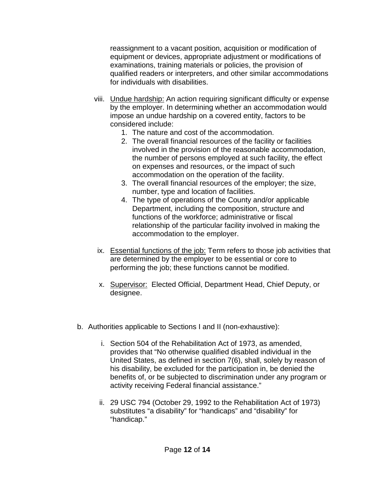reassignment to a vacant position, acquisition or modification of equipment or devices, appropriate adjustment or modifications of examinations, training materials or policies, the provision of qualified readers or interpreters, and other similar accommodations for individuals with disabilities.

- viii. Undue hardship: An action requiring significant difficulty or expense by the employer. In determining whether an accommodation would impose an undue hardship on a covered entity, factors to be considered include:
	- 1. The nature and cost of the accommodation.
	- 2. The overall financial resources of the facility or facilities involved in the provision of the reasonable accommodation, the number of persons employed at such facility, the effect on expenses and resources, or the impact of such accommodation on the operation of the facility.
	- 3. The overall financial resources of the employer; the size, number, type and location of facilities.
	- 4. The type of operations of the County and/or applicable Department, including the composition, structure and functions of the workforce; administrative or fiscal relationship of the particular facility involved in making the accommodation to the employer.
	- ix. Essential functions of the job: Term refers to those job activities that are determined by the employer to be essential or core to performing the job; these functions cannot be modified.
	- x. Supervisor: Elected Official, Department Head, Chief Deputy, or designee.
- b. Authorities applicable to Sections I and II (non-exhaustive):
	- i. Section 504 of the Rehabilitation Act of 1973, as amended, provides that "No otherwise qualified disabled individual in the United States, as defined in section 7(6), shall, solely by reason of his disability, be excluded for the participation in, be denied the benefits of, or be subjected to discrimination under any program or activity receiving Federal financial assistance."
	- ii. 29 USC 794 (October 29, 1992 to the Rehabilitation Act of 1973) substitutes "a disability" for "handicaps" and "disability" for "handicap."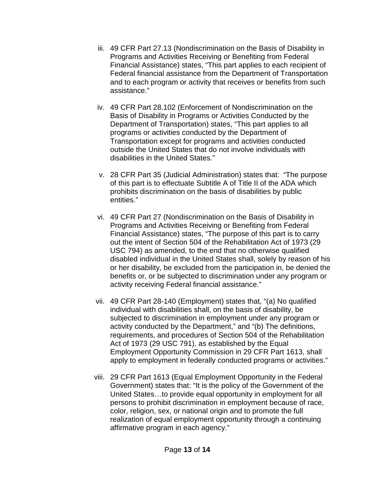- iii. 49 CFR Part 27.13 (Nondiscrimination on the Basis of Disability in Programs and Activities Receiving or Benefiting from Federal Financial Assistance) states, "This part applies to each recipient of Federal financial assistance from the Department of Transportation and to each program or activity that receives or benefits from such assistance."
- iv. 49 CFR Part 28.102 (Enforcement of Nondiscrimination on the Basis of Disability in Programs or Activities Conducted by the Department of Transportation) states, "This part applies to all programs or activities conducted by the Department of Transportation except for programs and activities conducted outside the United States that do not involve individuals with disabilities in the United States."
- v. 28 CFR Part 35 (Judicial Administration) states that: "The purpose of this part is to effectuate Subtitle A of Title II of the ADA which prohibits discrimination on the basis of disabilities by public entities."
- vi. 49 CFR Part 27 (Nondiscrimination on the Basis of Disability in Programs and Activities Receiving or Benefiting from Federal Financial Assistance) states, "The purpose of this part is to carry out the intent of Section 504 of the Rehabilitation Act of 1973 (29 USC 794) as amended, to the end that no otherwise qualified disabled individual in the United States shall, solely by reason of his or her disability, be excluded from the participation in, be denied the benefits or, or be subjected to discrimination under any program or activity receiving Federal financial assistance."
- vii. 49 CFR Part 28-140 (Employment) states that, "(a) No qualified individual with disabilities shall, on the basis of disability, be subjected to discrimination in employment under any program or activity conducted by the Department," and "(b) The definitions, requirements, and procedures of Section 504 of the Rehabilitation Act of 1973 (29 USC 791), as established by the Equal Employment Opportunity Commission in 29 CFR Part 1613, shall apply to employment in federally conducted programs or activities."
- viii. 29 CFR Part 1613 (Equal Employment Opportunity in the Federal Government) states that: "It is the policy of the Government of the United States…to provide equal opportunity in employment for all persons to prohibit discrimination in employment because of race, color, religion, sex, or national origin and to promote the full realization of equal employment opportunity through a continuing affirmative program in each agency."